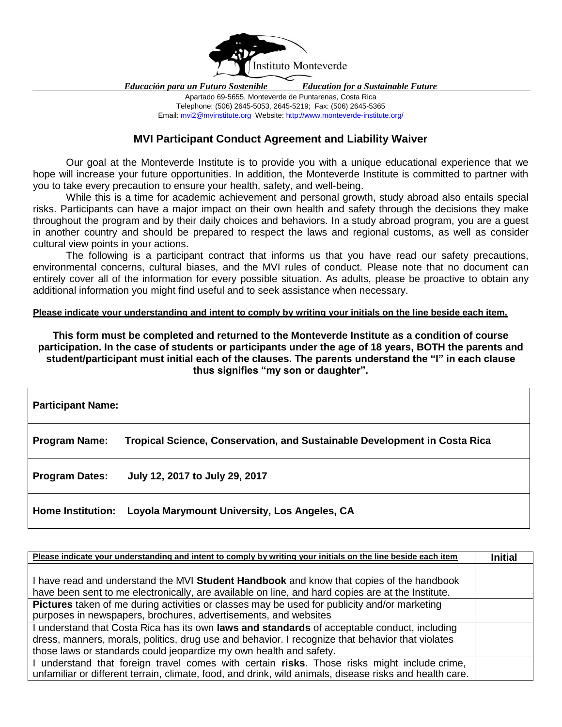

*Educación para un Futuro Sostenible Education for a Sustainable Future*

Apartado 69-5655, Monteverde de Puntarenas, Costa Rica Telephone: (506) 2645-5053, 2645-5219; Fax: (506) 2645-5365 Email: [mvi2@mvinstitute.org](mailto:mvi2@mvinstitute.org) Website[: http://www.monteverde-institute.org/](http://www.monteverde-institute.org/)

## **MVI Participant Conduct Agreement and Liability Waiver**

Our goal at the Monteverde Institute is to provide you with a unique educational experience that we hope will increase your future opportunities. In addition, the Monteverde Institute is committed to partner with you to take every precaution to ensure your health, safety, and well-being.

While this is a time for academic achievement and personal growth, study abroad also entails special risks. Participants can have a major impact on their own health and safety through the decisions they make throughout the program and by their daily choices and behaviors. In a study abroad program, you are a guest in another country and should be prepared to respect the laws and regional customs, as well as consider cultural view points in your actions.

The following is a participant contract that informs us that you have read our safety precautions, environmental concerns, cultural biases, and the MVI rules of conduct. Please note that no document can entirely cover all of the information for every possible situation. As adults, please be proactive to obtain any additional information you might find useful and to seek assistance when necessary.

## **Please indicate your understanding and intent to comply by writing your initials on the line beside each item.**

**This form must be completed and returned to the Monteverde Institute as a condition of course participation. In the case of students or participants under the age of 18 years, BOTH the parents and student/participant must initial each of the clauses. The parents understand the "I" in each clause thus signifies "my son or daughter".**

| <b>Participant Name:</b> |                                                                           |  |  |  |  |
|--------------------------|---------------------------------------------------------------------------|--|--|--|--|
| <b>Program Name:</b>     | Tropical Science, Conservation, and Sustainable Development in Costa Rica |  |  |  |  |
| <b>Program Dates:</b>    | July 12, 2017 to July 29, 2017                                            |  |  |  |  |
| <b>Home Institution:</b> | Loyola Marymount University, Los Angeles, CA                              |  |  |  |  |

| Please indicate your understanding and intent to comply by writing your initials on the line beside each item | <b>Initial</b> |
|---------------------------------------------------------------------------------------------------------------|----------------|
|                                                                                                               |                |
| I have read and understand the MVI Student Handbook and know that copies of the handbook                      |                |
| have been sent to me electronically, are available on line, and hard copies are at the Institute.             |                |
| <b>Pictures</b> taken of me during activities or classes may be used for publicity and/or marketing           |                |
| purposes in newspapers, brochures, advertisements, and websites                                               |                |
| I understand that Costa Rica has its own laws and standards of acceptable conduct, including                  |                |
| dress, manners, morals, politics, drug use and behavior. I recognize that behavior that violates              |                |
| those laws or standards could jeopardize my own health and safety.                                            |                |
| I understand that foreign travel comes with certain risks. Those risks might include crime,                   |                |
| unfamiliar or different terrain, climate, food, and drink, wild animals, disease risks and health care.       |                |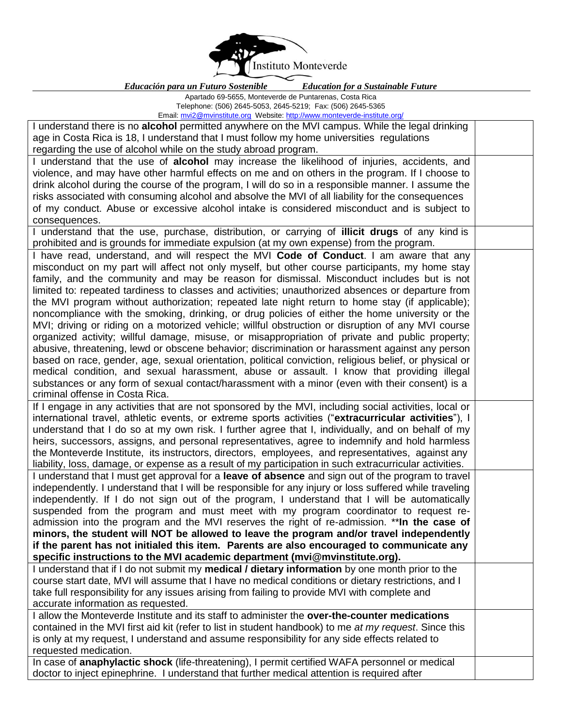

*Educación para un Futuro Sostenible Education for a Sustainable Future*

| Apartado 69-5655, Monteverde de Puntarenas, Costa Rica |  |  |                                       |  |
|--------------------------------------------------------|--|--|---------------------------------------|--|
| (0.001, 0.010, 0.000, 0.000, 0.000)                    |  |  | $(1 - \alpha)^2$ and $(1 - \alpha)^2$ |  |

Telephone: (506) 2645-5053, 2645-5219; Fax: (506) 2645-5365 Email: [mvi2@mvinstitute.org](mailto:mvi2@mvinstitute.org) Website[: http://www.monteverde-institute.org/](http://www.monteverde-institute.org/)

| <u>Efficii: mviz@mvinstitute.org</u> vvebsite. <u>nttp://www.monteverde-institute.org/</u>              |  |  |  |
|---------------------------------------------------------------------------------------------------------|--|--|--|
| I understand there is no alcohol permitted anywhere on the MVI campus. While the legal drinking         |  |  |  |
| age in Costa Rica is 18, I understand that I must follow my home universities regulations               |  |  |  |
| regarding the use of alcohol while on the study abroad program.                                         |  |  |  |
| I understand that the use of alcohol may increase the likelihood of injuries, accidents, and            |  |  |  |
| violence, and may have other harmful effects on me and on others in the program. If I choose to         |  |  |  |
| drink alcohol during the course of the program, I will do so in a responsible manner. I assume the      |  |  |  |
| risks associated with consuming alcohol and absolve the MVI of all liability for the consequences       |  |  |  |
| of my conduct. Abuse or excessive alcohol intake is considered misconduct and is subject to             |  |  |  |
| consequences.                                                                                           |  |  |  |
| I understand that the use, purchase, distribution, or carrying of illicit drugs of any kind is          |  |  |  |
| prohibited and is grounds for immediate expulsion (at my own expense) from the program.                 |  |  |  |
| I have read, understand, and will respect the MVI Code of Conduct. I am aware that any                  |  |  |  |
| misconduct on my part will affect not only myself, but other course participants, my home stay          |  |  |  |
| family, and the community and may be reason for dismissal. Misconduct includes but is not               |  |  |  |
| limited to: repeated tardiness to classes and activities; unauthorized absences or departure from       |  |  |  |
| the MVI program without authorization; repeated late night return to home stay (if applicable);         |  |  |  |
| noncompliance with the smoking, drinking, or drug policies of either the home university or the         |  |  |  |
| MVI; driving or riding on a motorized vehicle; willful obstruction or disruption of any MVI course      |  |  |  |
|                                                                                                         |  |  |  |
| organized activity; willful damage, misuse, or misappropriation of private and public property;         |  |  |  |
| abusive, threatening, lewd or obscene behavior; discrimination or harassment against any person         |  |  |  |
| based on race, gender, age, sexual orientation, political conviction, religious belief, or physical or  |  |  |  |
| medical condition, and sexual harassment, abuse or assault. I know that providing illegal               |  |  |  |
| substances or any form of sexual contact/harassment with a minor (even with their consent) is a         |  |  |  |
| criminal offense in Costa Rica.                                                                         |  |  |  |
| If I engage in any activities that are not sponsored by the MVI, including social activities, local or  |  |  |  |
| international travel, athletic events, or extreme sports activities ("extracurricular activities"), I   |  |  |  |
| understand that I do so at my own risk. I further agree that I, individually, and on behalf of my       |  |  |  |
| heirs, successors, assigns, and personal representatives, agree to indemnify and hold harmless          |  |  |  |
| the Monteverde Institute, its instructors, directors, employees, and representatives, against any       |  |  |  |
| liability, loss, damage, or expense as a result of my participation in such extracurricular activities. |  |  |  |
| I understand that I must get approval for a leave of absence and sign out of the program to travel      |  |  |  |
| independently. I understand that I will be responsible for any injury or loss suffered while traveling  |  |  |  |
| independently. If I do not sign out of the program, I understand that I will be automatically           |  |  |  |
| suspended from the program and must meet with my program coordinator to request re-                     |  |  |  |
| admission into the program and the MVI reserves the right of re-admission. **In the case of             |  |  |  |
| minors, the student will NOT be allowed to leave the program and/or travel independently                |  |  |  |
| if the parent has not initialed this item. Parents are also encouraged to communicate any               |  |  |  |
| specific instructions to the MVI academic department (mvi@mvinstitute.org).                             |  |  |  |
| I understand that if I do not submit my medical / dietary information by one month prior to the         |  |  |  |
| course start date, MVI will assume that I have no medical conditions or dietary restrictions, and I     |  |  |  |
| take full responsibility for any issues arising from failing to provide MVI with complete and           |  |  |  |
| accurate information as requested.                                                                      |  |  |  |
| I allow the Monteverde Institute and its staff to administer the over-the-counter medications           |  |  |  |
| contained in the MVI first aid kit (refer to list in student handbook) to me at my request. Since this  |  |  |  |
| is only at my request, I understand and assume responsibility for any side effects related to           |  |  |  |
| requested medication.                                                                                   |  |  |  |
| In case of anaphylactic shock (life-threatening), I permit certified WAFA personnel or medical          |  |  |  |
| doctor to inject epinephrine. I understand that further medical attention is required after             |  |  |  |